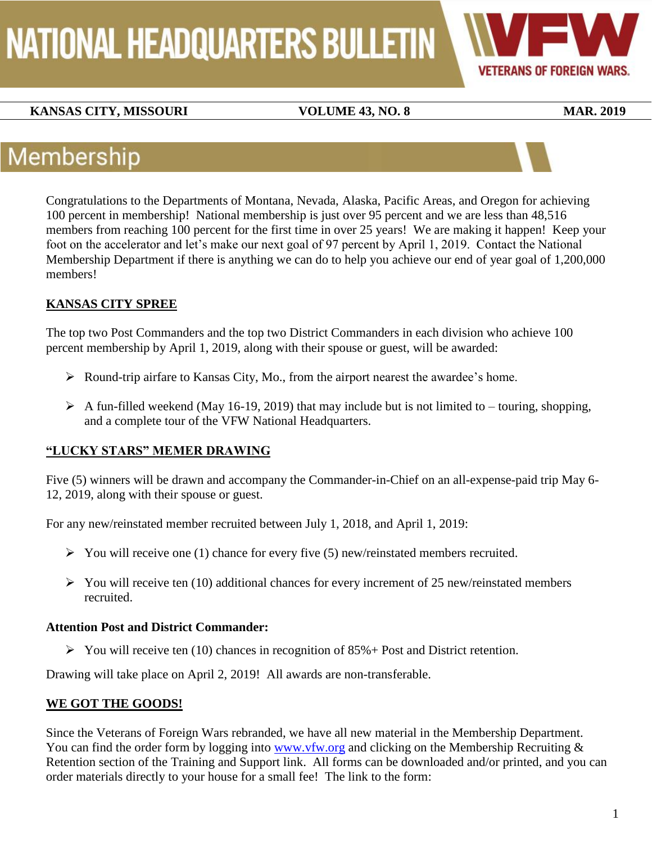# NATIONAL HEADQUARTERS BULLETIN



### **KANSAS CITY, MISSOURI VOLUME 43, NO. 8** MAR. 2019

### Membership

Congratulations to the Departments of Montana, Nevada, Alaska, Pacific Areas, and Oregon for achieving 100 percent in membership! National membership is just over 95 percent and we are less than 48,516 members from reaching 100 percent for the first time in over 25 years! We are making it happen! Keep your foot on the accelerator and let's make our next goal of 97 percent by April 1, 2019. Contact the National Membership Department if there is anything we can do to help you achieve our end of year goal of 1,200,000 members!

### **KANSAS CITY SPREE**

The top two Post Commanders and the top two District Commanders in each division who achieve 100 percent membership by April 1, 2019, along with their spouse or guest, will be awarded:

- Round-trip airfare to Kansas City, Mo., from the airport nearest the awardee's home.
- $\triangleright$  A fun-filled weekend (May 16-19, 2019) that may include but is not limited to touring, shopping, and a complete tour of the VFW National Headquarters.

#### **"LUCKY STARS" MEMER DRAWING**

Five (5) winners will be drawn and accompany the Commander-in-Chief on an all-expense-paid trip May 6- 12, 2019, along with their spouse or guest.

For any new/reinstated member recruited between July 1, 2018, and April 1, 2019:

- $\triangleright$  You will receive one (1) chance for every five (5) new/reinstated members recruited.
- $\triangleright$  You will receive ten (10) additional chances for every increment of 25 new/reinstated members recruited.

#### **Attention Post and District Commander:**

 $\triangleright$  You will receive ten (10) chances in recognition of 85% + Post and District retention.

Drawing will take place on April 2, 2019! All awards are non-transferable.

#### **WE GOT THE GOODS!**

Since the Veterans of Foreign Wars rebranded, we have all new material in the Membership Department. You can find the order form by logging into [www.vfw.org](http://www.vfw.org/) and clicking on the Membership Recruiting & Retention section of the Training and Support link. All forms can be downloaded and/or printed, and you can order materials directly to your house for a small fee! The link to the form: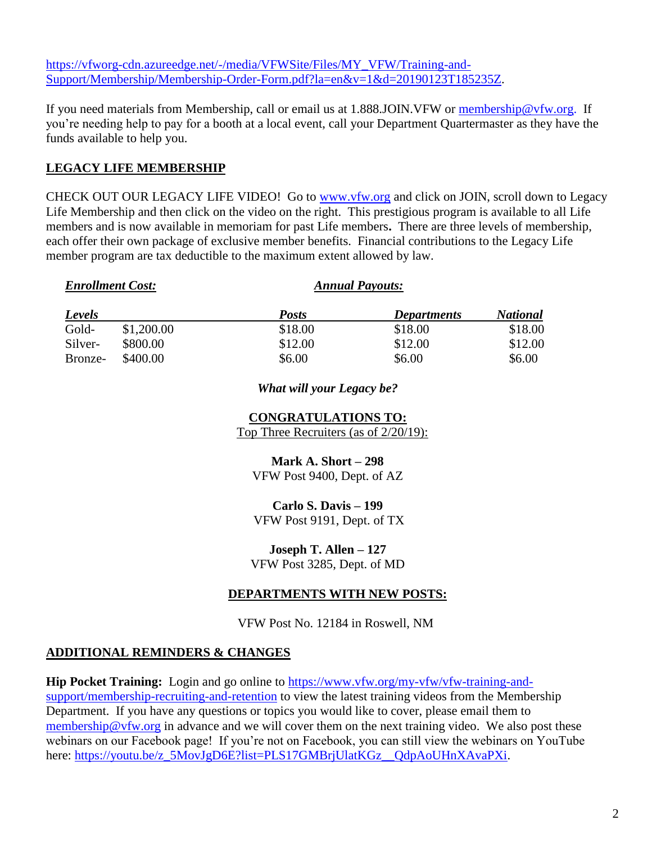[https://vfworg-cdn.azureedge.net/-/media/VFWSite/Files/MY\\_VFW/Training-and-](https://vfworg-cdn.azureedge.net/-/media/VFWSite/Files/MY_VFW/Training-and-Support/Membership/Membership-Order-Form.pdf?la=en&v=1&d=20190123T185235Z)[Support/Membership/Membership-Order-Form.pdf?la=en&v=1&d=20190123T185235Z.](https://vfworg-cdn.azureedge.net/-/media/VFWSite/Files/MY_VFW/Training-and-Support/Membership/Membership-Order-Form.pdf?la=en&v=1&d=20190123T185235Z)

If you need materials from Membership, call or email us at 1.888.JOIN.VFW or [membership@vfw.org.](mailto:membership@vfw.org) If you're needing help to pay for a booth at a local event, call your Department Quartermaster as they have the funds available to help you.

#### **LEGACY LIFE MEMBERSHIP**

CHECK OUT OUR LEGACY LIFE VIDEO! Go to **www.vfw.org** and click on JOIN, scroll down to Legacy Life Membership and then click on the video on the right. This prestigious program is available to all Life members and is now available in memoriam for past Life members**.** There are three levels of membership, each offer their own package of exclusive member benefits. Financial contributions to the Legacy Life member program are tax deductible to the maximum extent allowed by law.

|         |            |              | $\mathcal{L}$ . The contract of the contract of the contract of the contract of the contract of the contract of the contract of the contract of the contract of the contract of the contract of the contract of the contract of th |                 |
|---------|------------|--------------|------------------------------------------------------------------------------------------------------------------------------------------------------------------------------------------------------------------------------------|-----------------|
| Levels  |            | <b>Posts</b> | Departments                                                                                                                                                                                                                        | <b>National</b> |
| Gold-   | \$1,200.00 | \$18.00      | \$18.00                                                                                                                                                                                                                            | \$18.00         |
| Silver- | \$800.00   | \$12.00      | \$12.00                                                                                                                                                                                                                            | \$12.00         |
| Bronze- | \$400.00   | \$6.00       | \$6.00                                                                                                                                                                                                                             | \$6.00          |

*Enrollment Cost: Annual Payouts:*

#### *What will your Legacy be?*

#### **CONGRATULATIONS TO:** Top Three Recruiters (as of 2/20/19):

**Mark A. Short – 298** VFW Post 9400, Dept. of AZ

#### **Carlo S. Davis – 199**

VFW Post 9191, Dept. of TX

**Joseph T. Allen – 127** VFW Post 3285, Dept. of MD

#### **DEPARTMENTS WITH NEW POSTS:**

VFW Post No. 12184 in Roswell, NM

#### **ADDITIONAL REMINDERS & CHANGES**

**Hip Pocket Training:** Login and go online to [https://www.vfw.org/my-vfw/vfw-training-and](https://www.vfw.org/my-vfw/vfw-training-and-support/membership-recruiting-and-retention)[support/membership-recruiting-and-retention](https://www.vfw.org/my-vfw/vfw-training-and-support/membership-recruiting-and-retention) to view the latest training videos from the Membership Department. If you have any questions or topics you would like to cover, please email them to [membership@vfw.org](mailto:membership@vfw.org) in advance and we will cover them on the next training video. We also post these webinars on our Facebook page! If you're not on Facebook, you can still view the webinars on YouTube here: [https://youtu.be/z\\_5MovJgD6E?list=PLS17GMBrjUlatKGz\\_\\_QdpAoUHnXAvaPXi.](https://youtu.be/z_5MovJgD6E?list=PLS17GMBrjUlatKGz__QdpAoUHnXAvaPXi)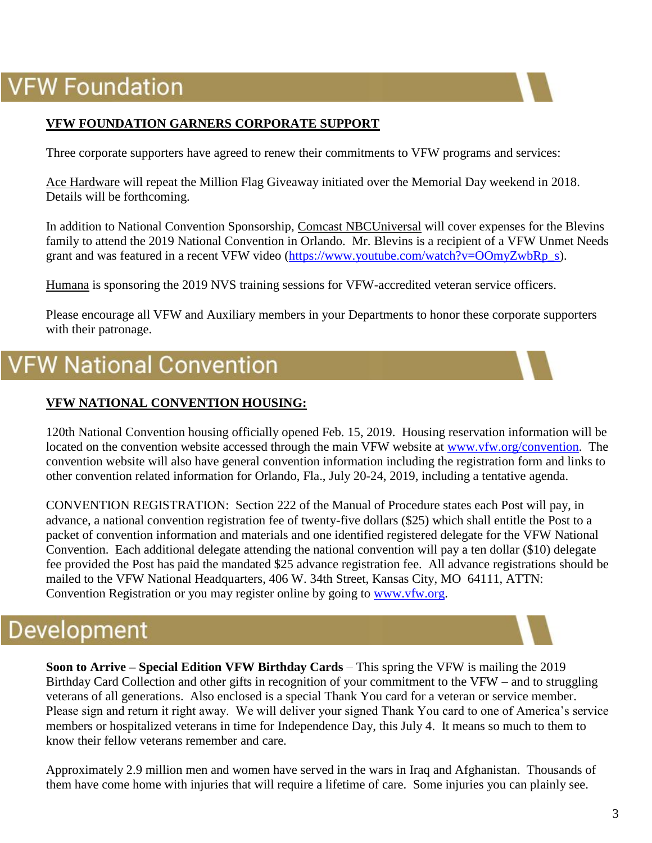### **VFW Foundation**



#### **VFW FOUNDATION GARNERS CORPORATE SUPPORT**

Three corporate supporters have agreed to renew their commitments to VFW programs and services:

Ace Hardware will repeat the Million Flag Giveaway initiated over the Memorial Day weekend in 2018. Details will be forthcoming.

In addition to National Convention Sponsorship, Comcast NBCUniversal will cover expenses for the Blevins family to attend the 2019 National Convention in Orlando. Mr. Blevins is a recipient of a VFW Unmet Needs grant and was featured in a recent VFW video [\(https://www.youtube.com/watch?v=OOmyZwbRp\\_s\)](https://www.youtube.com/watch?v=OOmyZwbRp_s).

Humana is sponsoring the 2019 NVS training sessions for VFW-accredited veteran service officers.

Please encourage all VFW and Auxiliary members in your Departments to honor these corporate supporters with their patronage.

### **/FW National Convention**

#### **VFW NATIONAL CONVENTION HOUSING:**

120th National Convention housing officially opened Feb. 15, 2019. Housing reservation information will be located on the convention website accessed through the main VFW website at [www.vfw.org/](http://www.vfw.org/)convention. The convention website will also have general convention information including the registration form and links to other convention related information for Orlando, Fla., July 20-24, 2019, including a tentative agenda.

CONVENTION REGISTRATION: Section 222 of the Manual of Procedure states each Post will pay, in advance, a national convention registration fee of twenty-five dollars (\$25) which shall entitle the Post to a packet of convention information and materials and one identified registered delegate for the VFW National Convention. Each additional delegate attending the national convention will pay a ten dollar (\$10) delegate fee provided the Post has paid the mandated \$25 advance registration fee. All advance registrations should be mailed to the VFW National Headquarters, 406 W. 34th Street, Kansas City, MO 64111, ATTN: Convention Registration or you may register online by going to [www.vfw.org.](http://www.vfw.org/)

### Development

**Soon to Arrive – Special Edition VFW Birthday Cards** – This spring the VFW is mailing the 2019 Birthday Card Collection and other gifts in recognition of your commitment to the VFW – and to struggling veterans of all generations. Also enclosed is a special Thank You card for a veteran or service member. Please sign and return it right away. We will deliver your signed Thank You card to one of America's service members or hospitalized veterans in time for Independence Day, this July 4. It means so much to them to know their fellow veterans remember and care.

Approximately 2.9 million men and women have served in the wars in Iraq and Afghanistan. Thousands of them have come home with injuries that will require a lifetime of care. Some injuries you can plainly see.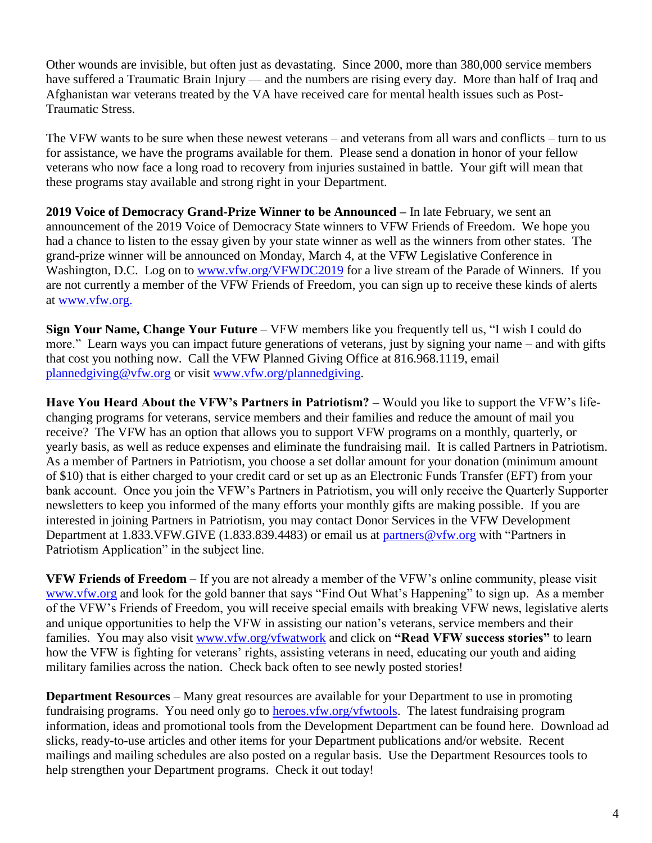Other wounds are invisible, but often just as devastating. Since 2000, more than 380,000 service members have suffered a Traumatic Brain Injury — and the numbers are rising every day. More than half of Iraq and Afghanistan war veterans treated by the VA have received care for mental health issues such as Post-Traumatic Stress.

The VFW wants to be sure when these newest veterans – and veterans from all wars and conflicts – turn to us for assistance, we have the programs available for them. Please send a donation in honor of your fellow veterans who now face a long road to recovery from injuries sustained in battle. Your gift will mean that these programs stay available and strong right in your Department.

**2019 Voice of Democracy Grand-Prize Winner to be Announced –** In late February, we sent an announcement of the 2019 Voice of Democracy State winners to VFW Friends of Freedom. We hope you had a chance to listen to the essay given by your state winner as well as the winners from other states. The grand-prize winner will be announced on Monday, March 4, at the VFW Legislative Conference in Washington, D.C. Log on to [www.vfw.org/VFWDC2019](http://www.vfw.org/VFWDC2019) for a live stream of the Parade of Winners. If you are not currently a member of the VFW Friends of Freedom, you can sign up to receive these kinds of alerts at [www.vfw.org.](http://www.vfw.org/)

**Sign Your Name, Change Your Future** – VFW members like you frequently tell us, "I wish I could do more." Learn ways you can impact future generations of veterans, just by signing your name – and with gifts that cost you nothing now. Call the VFW Planned Giving Office at 816.968.1119, email [plannedgiving@vfw.org](mailto:plannedgiving@vfw.org) or visit [www.vfw.org/plannedgiving.](http://www.vfw.org/plannedgiving)

**Have You Heard About the VFW's Partners in Patriotism? –** Would you like to support the VFW's lifechanging programs for veterans, service members and their families and reduce the amount of mail you receive? The VFW has an option that allows you to support VFW programs on a monthly, quarterly, or yearly basis, as well as reduce expenses and eliminate the fundraising mail. It is called Partners in Patriotism. As a member of Partners in Patriotism, you choose a set dollar amount for your donation (minimum amount of \$10) that is either charged to your credit card or set up as an Electronic Funds Transfer (EFT) from your bank account. Once you join the VFW's Partners in Patriotism, you will only receive the Quarterly Supporter newsletters to keep you informed of the many efforts your monthly gifts are making possible. If you are interested in joining Partners in Patriotism, you may contact Donor Services in the VFW Development Department at 1.833. VFW.GIVE (1.833.839.4483) or email us at [partners@vfw.org](mailto:partners@vfw.org) with "Partners in Patriotism Application" in the subject line.

**VFW Friends of Freedom** – If you are not already a member of the VFW's online community, please visit [www.vfw.org](http://www.vfw.org/) and look for the gold banner that says "Find Out What's Happening" to sign up. As a member of the VFW's Friends of Freedom, you will receive special emails with breaking VFW news, legislative alerts and unique opportunities to help the VFW in assisting our nation's veterans, service members and their families. You may also visit [www.vfw.org/vfwatwork](http://www.vfw.org/vfwatwork) and click on **"Read VFW success stories"** to learn how the VFW is fighting for veterans' rights, assisting veterans in need, educating our youth and aiding military families across the nation. Check back often to see newly posted stories!

**Department Resources** – Many great resources are available for your Department to use in promoting fundraising programs. You need only go to heroes. vfw.org/vfwtools. The latest fundraising program information, ideas and promotional tools from the Development Department can be found here. Download ad slicks, ready-to-use articles and other items for your Department publications and/or website. Recent mailings and mailing schedules are also posted on a regular basis. Use the Department Resources tools to help strengthen your Department programs. Check it out today!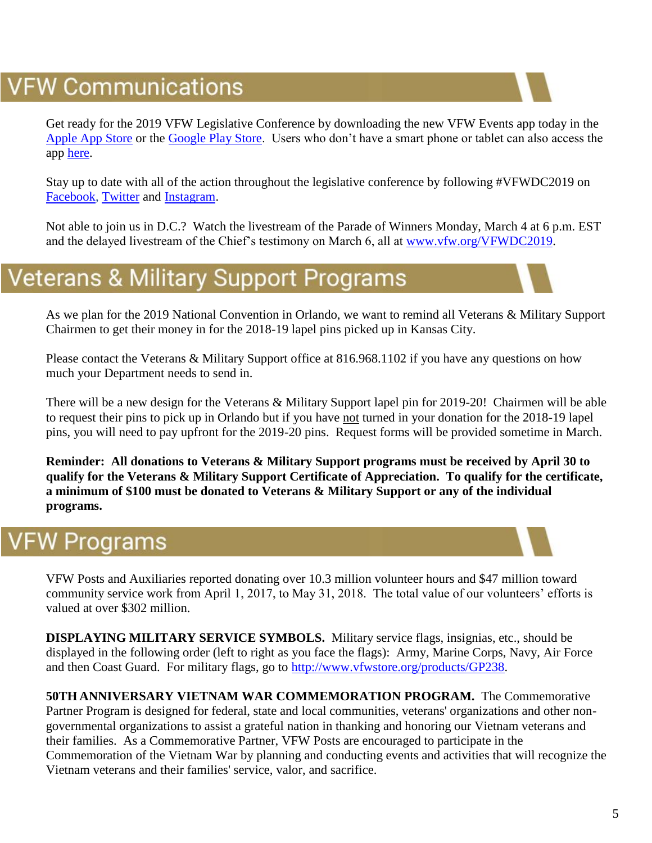### **VFW Communications**

Get ready for the 2019 VFW Legislative Conference by downloading the new VFW Events app today in the [Apple App Store](https://itunes.apple.com/us/app/vfw-events/id1450852570?mt=8) or the [Google Play Store.](https://play.google.com/store/apps/details?id=com.vfw.vfwevents) Users who don't have a smart phone or tablet can also access the app [here.](https://eventmobi.com/vfwdc2019/)

Stay up to date with all of the action throughout the legislative conference by following #VFWDC2019 on [Facebook,](http://www.facebook.com/VFWFans) [Twitter](http://www.twitter.com/VFWHQ) and [Instagram.](http://www.instagram.com/VFWHQ)

Not able to join us in D.C.? Watch the livestream of the Parade of Winners Monday, March 4 at 6 p.m. EST and the delayed livestream of the Chief's testimony on March 6, all at [www.vfw.org/VFWDC2019.](http://www.vfw.org/VFWDC2019)

### **Veterans & Military Support Programs**

As we plan for the 2019 National Convention in Orlando, we want to remind all Veterans & Military Support Chairmen to get their money in for the 2018-19 lapel pins picked up in Kansas City.

Please contact the Veterans & Military Support office at 816.968.1102 if you have any questions on how much your Department needs to send in.

There will be a new design for the Veterans & Military Support lapel pin for 2019-20! Chairmen will be able to request their pins to pick up in Orlando but if you have not turned in your donation for the 2018-19 lapel pins, you will need to pay upfront for the 2019-20 pins. Request forms will be provided sometime in March.

**Reminder: All donations to Veterans & Military Support programs must be received by April 30 to qualify for the Veterans & Military Support Certificate of Appreciation. To qualify for the certificate, a minimum of \$100 must be donated to Veterans & Military Support or any of the individual programs.**

### **/FW Programs**

VFW Posts and Auxiliaries reported donating over 10.3 million volunteer hours and \$47 million toward community service work from April 1, 2017, to May 31, 2018. The total value of our volunteers' efforts is valued at over \$302 million.

**DISPLAYING MILITARY SERVICE SYMBOLS.** Military service flags, insignias, etc., should be displayed in the following order (left to right as you face the flags): Army, Marine Corps, Navy, Air Force and then Coast Guard. For military flags, go to [http://www.vfwstore.org/products/GP238.](http://www.vfwstore.org/products/GP238)

**50TH ANNIVERSARY VIETNAM WAR COMMEMORATION PROGRAM.** The Commemorative Partner Program is designed for federal, state and local communities, veterans' organizations and other nongovernmental organizations to assist a grateful nation in thanking and honoring our Vietnam veterans and their families. As a Commemorative Partner, VFW Posts are encouraged to participate in the Commemoration of the Vietnam War by planning and conducting events and activities that will recognize the Vietnam veterans and their families' service, valor, and sacrifice.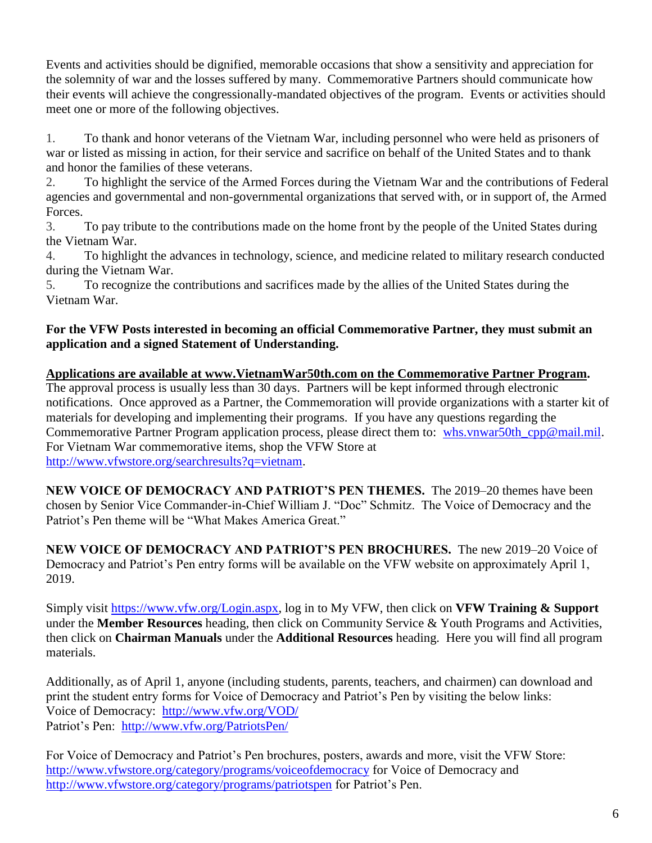Events and activities should be dignified, memorable occasions that show a sensitivity and appreciation for the solemnity of war and the losses suffered by many. Commemorative Partners should communicate how their events will achieve the congressionally-mandated objectives of the program. Events or activities should meet one or more of the following objectives.

1. To thank and honor veterans of the Vietnam War, including personnel who were held as prisoners of war or listed as missing in action, for their service and sacrifice on behalf of the United States and to thank and honor the families of these veterans.

2. To highlight the service of the Armed Forces during the Vietnam War and the contributions of Federal agencies and governmental and non-governmental organizations that served with, or in support of, the Armed Forces.

3. To pay tribute to the contributions made on the home front by the people of the United States during the Vietnam War.

4. To highlight the advances in technology, science, and medicine related to military research conducted during the Vietnam War.

5. To recognize the contributions and sacrifices made by the allies of the United States during the Vietnam War.

#### **For the VFW Posts interested in becoming an official Commemorative Partner, they must submit an application and a signed Statement of Understanding.**

#### **Applications are available at [www.VietnamWar50th.com](http://www.vietnamwar50th.com/) on the Commemorative Partner Program.**  The approval process is usually less than 30 days. Partners will be kept informed through electronic notifications. Once approved as a Partner, the Commemoration will provide organizations with a starter kit of materials for developing and implementing their programs. If you have any questions regarding the Commemorative Partner Program application process, please direct them to: [whs.vnwar50th\\_cpp@mail.mil.](mailto:whs.vnwar50th_cpp@mail.mil) For Vietnam War commemorative items, shop the VFW Store at [http://www.vfwstore.org/searchresults?q=vietnam.](http://www.vfwstore.org/searchresults?q=vietnam)

**NEW VOICE OF DEMOCRACY AND PATRIOT'S PEN THEMES.** The 2019–20 themes have been chosen by Senior Vice Commander-in-Chief William J. "Doc" Schmitz. The Voice of Democracy and the Patriot's Pen theme will be "What Makes America Great."

**NEW VOICE OF DEMOCRACY AND PATRIOT'S PEN BROCHURES.** The new 2019–20 Voice of Democracy and Patriot's Pen entry forms will be available on the VFW website on approximately April 1, 2019.

Simply visit [https://www.vfw.org/Login.aspx,](https://www.vfw.org/Login.aspx) log in to My VFW, then click on **VFW Training & Support** under the **Member Resources** heading, then click on Community Service & Youth Programs and Activities, then click on **Chairman Manuals** under the **Additional Resources** heading. Here you will find all program materials.

Additionally, as of April 1, anyone (including students, parents, teachers, and chairmen) can download and print the student entry forms for Voice of Democracy and Patriot's Pen by visiting the below links: Voice of Democracy: <http://www.vfw.org/VOD/> Patriot's Pen: <http://www.vfw.org/PatriotsPen/>

For Voice of Democracy and Patriot's Pen brochures, posters, awards and more, visit the VFW Store: <http://www.vfwstore.org/category/programs/voiceofdemocracy> for Voice of Democracy and <http://www.vfwstore.org/category/programs/patriotspen> for Patriot's Pen.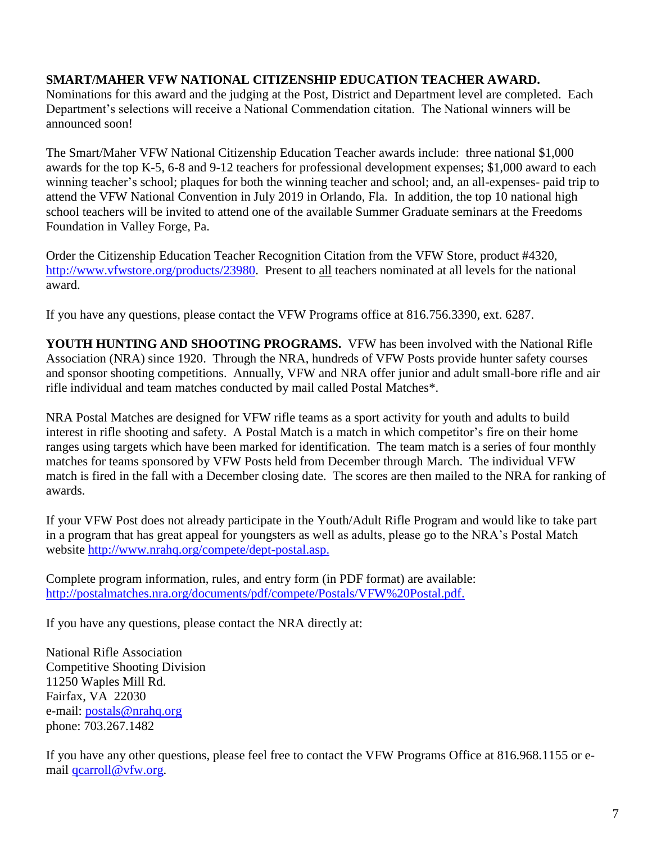#### **SMART/MAHER VFW NATIONAL CITIZENSHIP EDUCATION TEACHER AWARD.**

Nominations for this award and the judging at the Post, District and Department level are completed. Each Department's selections will receive a National Commendation citation. The National winners will be announced soon!

The Smart/Maher VFW National Citizenship Education Teacher awards include: three national \$1,000 awards for the top K-5, 6-8 and 9-12 teachers for professional development expenses; \$1,000 award to each winning teacher's school; plaques for both the winning teacher and school; and, an all-expenses- paid trip to attend the VFW National Convention in July 2019 in Orlando, Fla. In addition, the top 10 national high school teachers will be invited to attend one of the available Summer Graduate seminars at the Freedoms Foundation in Valley Forge, Pa.

Order the Citizenship Education Teacher Recognition Citation from the VFW Store, product #4320, [http://www.vfwstore.org/products/23980.](http://www.vfwstore.org/products/23980) Present to all teachers nominated at all levels for the national award.

If you have any questions, please contact the VFW Programs office at 816.756.3390, ext. 6287.

**YOUTH HUNTING AND SHOOTING PROGRAMS.** VFW has been involved with the National Rifle Association (NRA) since 1920. Through the NRA, hundreds of VFW Posts provide hunter safety courses and sponsor shooting competitions. Annually, VFW and NRA offer junior and adult small-bore rifle and air rifle individual and team matches conducted by mail called Postal Matches\*.

NRA Postal Matches are designed for VFW rifle teams as a sport activity for youth and adults to build interest in rifle shooting and safety. A Postal Match is a match in which competitor's fire on their home ranges using targets which have been marked for identification. The team match is a series of four monthly matches for teams sponsored by VFW Posts held from December through March. The individual VFW match is fired in the fall with a December closing date. The scores are then mailed to the NRA for ranking of awards.

If your VFW Post does not already participate in the Youth/Adult Rifle Program and would like to take part in a program that has great appeal for youngsters as well as adults, please go to the NRA's Postal Match website [http://www.nrahq.org/compete/dept-postal.asp.](http://www.nrahq.org/compete/dept-postal.asp)

Complete program information, rules, and entry form (in PDF format) are available: [http://postalmatches.nra.org/documents/pdf/compete/Postals/VFW%20Postal.pdf.](http://postalmatches.nra.org/documents/pdf/compete/Postals/VFW%20Postal.pdf)

If you have any questions, please contact the NRA directly at:

National Rifle Association Competitive Shooting Division 11250 Waples Mill Rd. Fairfax, VA 22030 e-mail: [postals@nrahq.org](mailto:postals@nrahq.org) phone: 703.267.1482

If you have any other questions, please feel free to contact the VFW Programs Office at 816.968.1155 or email [qcarroll@vfw.org.](mailto:qcarroll@vfw.org)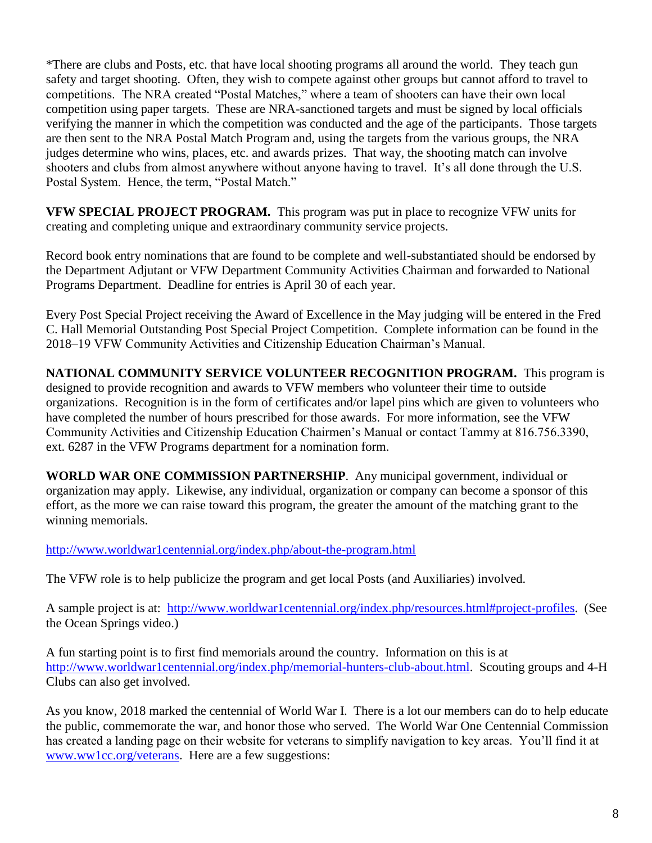\*There are clubs and Posts, etc. that have local shooting programs all around the world. They teach gun safety and target shooting. Often, they wish to compete against other groups but cannot afford to travel to competitions. The NRA created "Postal Matches," where a team of shooters can have their own local competition using paper targets. These are NRA-sanctioned targets and must be signed by local officials verifying the manner in which the competition was conducted and the age of the participants. Those targets are then sent to the NRA Postal Match Program and, using the targets from the various groups, the NRA judges determine who wins, places, etc. and awards prizes. That way, the shooting match can involve shooters and clubs from almost anywhere without anyone having to travel. It's all done through the U.S. Postal System. Hence, the term, "Postal Match."

**VFW SPECIAL PROJECT PROGRAM.** This program was put in place to recognize VFW units for creating and completing unique and extraordinary community service projects.

Record book entry nominations that are found to be complete and well-substantiated should be endorsed by the Department Adjutant or VFW Department Community Activities Chairman and forwarded to National Programs Department. Deadline for entries is April 30 of each year.

Every Post Special Project receiving the Award of Excellence in the May judging will be entered in the Fred C. Hall Memorial Outstanding Post Special Project Competition. Complete information can be found in the 2018–19 VFW Community Activities and Citizenship Education Chairman's Manual.

**NATIONAL COMMUNITY SERVICE VOLUNTEER RECOGNITION PROGRAM.** This program is designed to provide recognition and awards to VFW members who volunteer their time to outside organizations. Recognition is in the form of certificates and/or lapel pins which are given to volunteers who have completed the number of hours prescribed for those awards. For more information, see the VFW Community Activities and Citizenship Education Chairmen's Manual or contact Tammy at 816.756.3390, ext. 6287 in the VFW Programs department for a nomination form.

**WORLD WAR ONE COMMISSION PARTNERSHIP**. Any municipal government, individual or organization may apply. Likewise, any individual, organization or company can become a sponsor of this effort, as the more we can raise toward this program, the greater the amount of the matching grant to the winning memorials.

<http://www.worldwar1centennial.org/index.php/about-the-program.html>

The VFW role is to help publicize the program and get local Posts (and Auxiliaries) involved.

A sample project is at: [http://www.worldwar1centennial.org/index.php/resources.html#project-profiles.](http://www.worldwar1centennial.org/index.php/resources.html#project-profiles) (See the Ocean Springs video.)

A fun starting point is to first find memorials around the country. Information on this is at [http://www.worldwar1centennial.org/index.php/memorial-hunters-club-about.html.](http://www.worldwar1centennial.org/index.php/memorial-hunters-club-about.html) Scouting groups and 4-H Clubs can also get involved.

As you know, 2018 marked the centennial of World War I. There is a lot our members can do to help educate the public, commemorate the war, and honor those who served. The World War One Centennial Commission has created a landing page on their website for veterans to simplify navigation to key areas. You'll find it at [www.ww1cc.org/veterans.](http://www.ww1cc.org/veterans) Here are a few suggestions: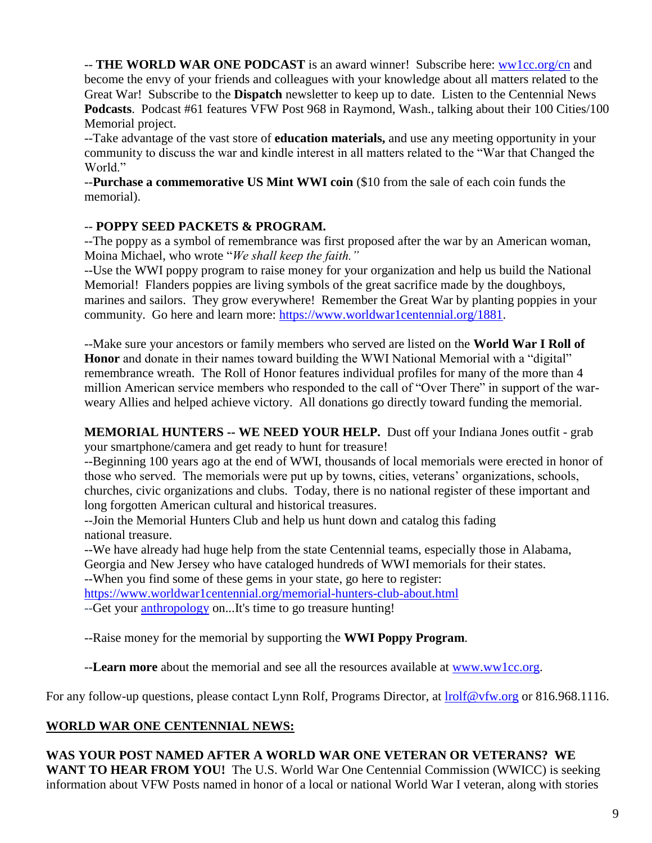-- **THE WORLD WAR ONE PODCAST** is an award winner! Subscribe here: [ww1cc.org/cn](http://ww1cc.org/cn) and become the envy of your friends and colleagues with your knowledge about all matters related to the Great War!Subscribe to the **Dispatch** newsletter to keep up to date. Listen to the Centennial News **Podcasts**. Podcast #61 features VFW Post 968 in Raymond, Wash., talking about their 100 Cities/100 Memorial project.

--Take advantage of the vast store of **education materials,** and use any meeting opportunity in your community to discuss the war and kindle interest in all matters related to the "War that Changed the World."

--**Purchase a commemorative US Mint WWI coin** (\$10 from the sale of each coin funds the memorial).

#### -- **POPPY SEED PACKETS & PROGRAM.**

--The poppy as a symbol of remembrance was first proposed after the war by an American woman, Moina Michael, who wrote "*We shall keep the faith."* 

--Use the WWI poppy program to raise money for your organization and help us build the National Memorial! Flanders poppies are living symbols of the great sacrifice made by the doughboys, marines and sailors. They grow everywhere! Remember the Great War by planting poppies in your community. Go here and learn more: [https://www.worldwar1centennial.org/1881.](https://www.worldwar1centennial.org/1881)

--Make sure your ancestors or family members who served are listed on the **World War I Roll of Honor** and donate in their names toward building the WWI National Memorial with a "digital" remembrance wreath. The Roll of Honor features individual profiles for many of the more than 4 million American service members who responded to the call of "Over There" in support of the warweary Allies and helped achieve victory. All donations go directly toward funding the memorial.

**MEMORIAL HUNTERS -- WE NEED YOUR HELP.** Dust off your Indiana Jones outfit - grab your smartphone/camera and get ready to hunt for treasure!

--Beginning 100 years ago at the end of WWI, thousands of local memorials were erected in honor of those who served. The memorials were put up by towns, cities, veterans' organizations, schools, churches, civic organizations and clubs. Today, there is no national register of these important and long forgotten American cultural and historical treasures.

--Join the Memorial Hunters Club and help us hunt down and catalog this fading national treasure.

--We have already had huge help from the state Centennial teams, especially those in Alabama, Georgia and New Jersey who have cataloged hundreds of WWI memorials for their states.

--When you find some of these gems in your state, go here to register:

<https://www.worldwar1centennial.org/memorial-hunters-club-about.html>

--Get your [anthropology](http://www.merriam-webster.com/dictionary/anthropology) on...It's time to go treasure hunting!

--Raise money for the memorial by supporting the **WWI Poppy Program**.

--**Learn more** about the memorial and see all the resources available at [www.ww1cc.org.](http://www.ww1cc.org/)

For any follow-up questions, please contact Lynn Rolf, Programs Director, at  $\frac{\text{Inoff@vfw.org}}{\text{Inoff@vfw.org}}$  or 816.968.1116.

#### **WORLD WAR ONE CENTENNIAL NEWS:**

#### **WAS YOUR POST NAMED AFTER A WORLD WAR ONE VETERAN OR VETERANS? WE**

**WANT TO HEAR FROM YOU!** The U.S. World War One Centennial Commission (WWICC) is seeking information about VFW Posts named in honor of a local or national World War I veteran, along with stories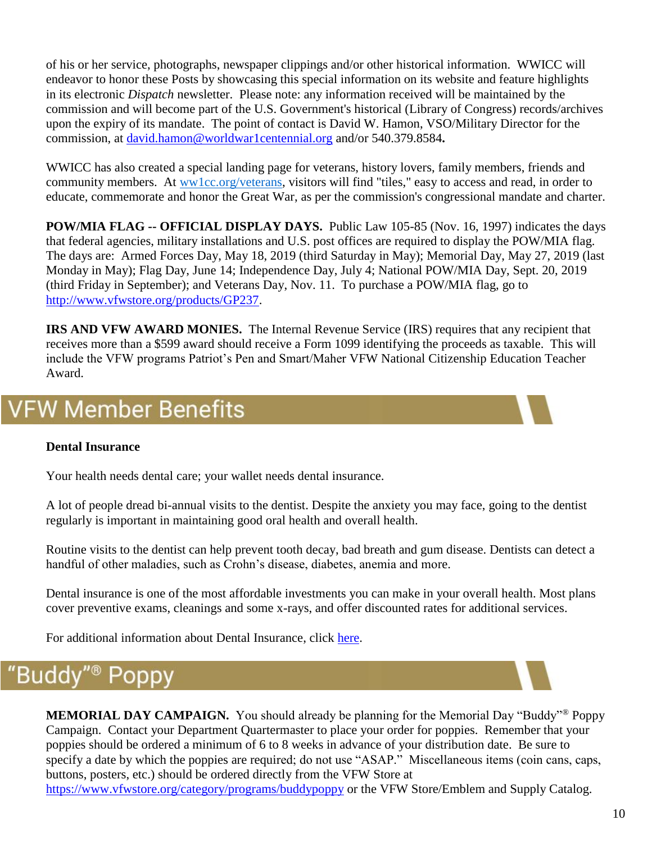of his or her service, photographs, newspaper clippings and/or other historical information. WWICC will endeavor to honor these Posts by showcasing this special information on its website and feature highlights in its electronic *Dispatch* newsletter. Please note: any information received will be maintained by the commission and will become part of the U.S. Government's historical (Library of Congress) records/archives upon the expiry of its mandate. The point of contact is David W. Hamon, VSO/Military Director for the commission, at [david.hamon@worldwar1centennial.org](mailto:david.hamon@worldwar1centennial.org) and/or 540.379.8584**.**

WWICC has also created a special landing page for veterans, history lovers, family members, friends and community members. At [ww1cc.org/veterans,](http://ww1cc.org/veterans) visitors will find "tiles," easy to access and read, in order to educate, commemorate and honor the Great War, as per the commission's congressional mandate and charter.

**POW/MIA FLAG -- OFFICIAL DISPLAY DAYS.** Public Law 105-85 (Nov. 16, 1997) indicates the days that federal agencies, military installations and U.S. post offices are required to display the POW/MIA flag. The days are: Armed Forces Day, May 18, 2019 (third Saturday in May); Memorial Day, May 27, 2019 (last Monday in May); Flag Day, June 14; Independence Day, July 4; National POW/MIA Day, Sept. 20, 2019 (third Friday in September); and Veterans Day, Nov. 11. To purchase a POW/MIA flag, go to [http://www.vfwstore.org/products/GP237.](http://www.vfwstore.org/products/GP237)

**IRS AND VFW AWARD MONIES.** The Internal Revenue Service (IRS) requires that any recipient that receives more than a \$599 award should receive a Form 1099 identifying the proceeds as taxable. This will include the VFW programs Patriot's Pen and Smart/Maher VFW National Citizenship Education Teacher Award.

### **VFW Member Benefits**

#### **Dental Insurance**

Your health needs dental care; your wallet needs dental insurance.

A lot of people dread bi-annual visits to the dentist. Despite the anxiety you may face, going to the dentist regularly is important in maintaining good oral health and overall health.

Routine visits to the dentist can help prevent tooth decay, bad breath and gum disease. Dentists can detect a handful of other maladies, such as Crohn's disease, diabetes, anemia and more.

Dental insurance is one of the most affordable investments you can make in your overall health. Most plans cover preventive exams, cleanings and some x-rays, and offer discounted rates for additional services.

For additional information about Dental Insurance, click [here.](https://vfwinsurance.com/healthcare/#dental)

#### "Budd DD)

**MEMORIAL DAY CAMPAIGN.** You should already be planning for the Memorial Day "Buddy"<sup>®</sup> Poppy Campaign. Contact your Department Quartermaster to place your order for poppies. Remember that your poppies should be ordered a minimum of 6 to 8 weeks in advance of your distribution date. Be sure to specify a date by which the poppies are required; do not use "ASAP." Miscellaneous items (coin cans, caps, buttons, posters, etc.) should be ordered directly from the VFW Store at <https://www.vfwstore.org/category/programs/buddypoppy> or the VFW Store/Emblem and Supply Catalog.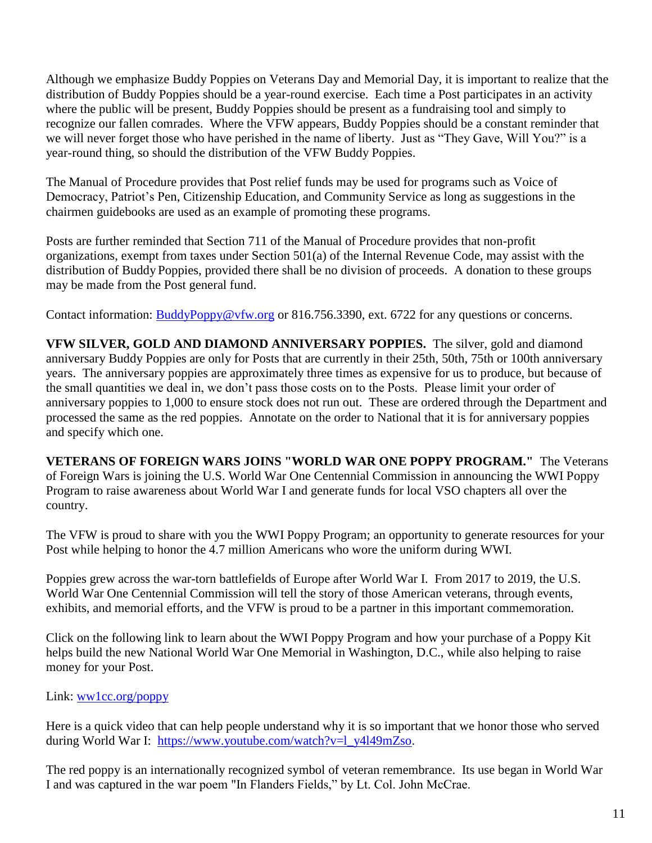Although we emphasize Buddy Poppies on Veterans Day and Memorial Day, it is important to realize that the distribution of Buddy Poppies should be a year-round exercise. Each time a Post participates in an activity where the public will be present, Buddy Poppies should be present as a fundraising tool and simply to recognize our fallen comrades. Where the VFW appears, Buddy Poppies should be a constant reminder that we will never forget those who have perished in the name of liberty. Just as "They Gave, Will You?" is a year-round thing, so should the distribution of the VFW Buddy Poppies.

The Manual of Procedure provides that Post relief funds may be used for programs such as Voice of Democracy, Patriot's Pen, Citizenship Education, and Community Service as long as suggestions in the chairmen guidebooks are used as an example of promoting these programs.

Posts are further reminded that Section 711 of the Manual of Procedure provides that non-profit organizations, exempt from taxes under Section 501(a) of the Internal Revenue Code, may assist with the distribution of Buddy Poppies, provided there shall be no division of proceeds. A donation to these groups may be made from the Post general fund.

Contact information: [BuddyPoppy@vfw.org](mailto:BuddyPoppy@vfw.org) or 816.756.3390, ext. 6722 for any questions or concerns.

**VFW SILVER, GOLD AND DIAMOND ANNIVERSARY POPPIES.** The silver, gold and diamond anniversary Buddy Poppies are only for Posts that are currently in their 25th, 50th, 75th or 100th anniversary years. The anniversary poppies are approximately three times as expensive for us to produce, but because of the small quantities we deal in, we don't pass those costs on to the Posts. Please limit your order of anniversary poppies to 1,000 to ensure stock does not run out. These are ordered through the Department and processed the same as the red poppies. Annotate on the order to National that it is for anniversary poppies and specify which one.

**VETERANS OF FOREIGN WARS JOINS "WORLD WAR ONE POPPY PROGRAM."** The Veterans of Foreign Wars is joining the U.S. World War One Centennial Commission in announcing the WWI Poppy Program to raise awareness about World War I and generate funds for local VSO chapters all over the country.

The VFW is proud to share with you the WWI Poppy Program; an opportunity to generate resources for your Post while helping to honor the 4.7 million Americans who wore the uniform during WWI.

Poppies grew across the war-torn battlefields of Europe after World War I. From 2017 to 2019, the U.S. World War One Centennial Commission will tell the story of those American veterans, through events, exhibits, and memorial efforts, and the VFW is proud to be a partner in this important commemoration.

Click on the following link to learn about the WWI Poppy Program and how your purchase of a Poppy Kit helps build the new National World War One Memorial in Washington, D.C., while also helping to raise money for your Post.

Link: [ww1cc.org/poppy](http://ww1cc.org/poppy)

Here is a quick video that can help people understand why it is so important that we honor those who served during World War I: [https://www.youtube.com/watch?v=l\\_y4l49mZso.](https://www.youtube.com/watch?v=l_y4l49mZso)

The red poppy is an internationally recognized symbol of veteran remembrance. Its use began in World War I and was captured in the war poem "In Flanders Fields," by Lt. Col. John McCrae.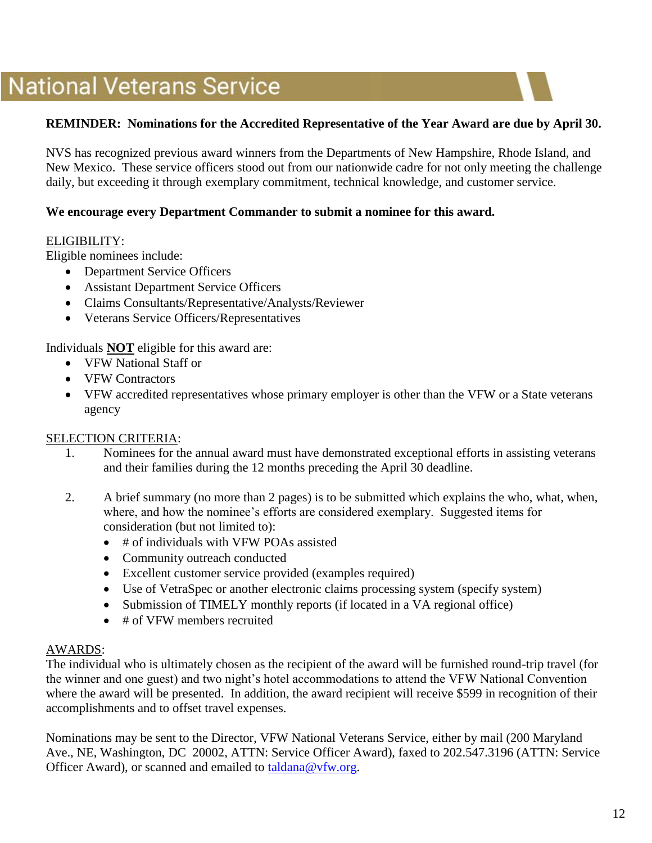## **National Veterans Service**

#### **REMINDER: Nominations for the Accredited Representative of the Year Award are due by April 30.**

NVS has recognized previous award winners from the Departments of New Hampshire, Rhode Island, and New Mexico. These service officers stood out from our nationwide cadre for not only meeting the challenge daily, but exceeding it through exemplary commitment, technical knowledge, and customer service.

#### **We encourage every Department Commander to submit a nominee for this award.**

#### ELIGIBILITY:

Eligible nominees include:

- Department Service Officers
- Assistant Department Service Officers
- Claims Consultants/Representative/Analysts/Reviewer
- Veterans Service Officers/Representatives

Individuals **NOT** eligible for this award are:

- VFW National Staff or
- VFW Contractors
- VFW accredited representatives whose primary employer is other than the VFW or a State veterans agency

#### SELECTION CRITERIA:

- 1. Nominees for the annual award must have demonstrated exceptional efforts in assisting veterans and their families during the 12 months preceding the April 30 deadline.
- 2. A brief summary (no more than 2 pages) is to be submitted which explains the who, what, when, where, and how the nominee's efforts are considered exemplary. Suggested items for consideration (but not limited to):
	- # of individuals with VFW POAs assisted
	- Community outreach conducted
	- Excellent customer service provided (examples required)
	- Use of VetraSpec or another electronic claims processing system (specify system)
	- Submission of TIMELY monthly reports (if located in a VA regional office)
	- # of VFW members recruited

#### AWARDS:

The individual who is ultimately chosen as the recipient of the award will be furnished round-trip travel (for the winner and one guest) and two night's hotel accommodations to attend the VFW National Convention where the award will be presented. In addition, the award recipient will receive \$599 in recognition of their accomplishments and to offset travel expenses.

Nominations may be sent to the Director, VFW National Veterans Service, either by mail (200 Maryland Ave., NE, Washington, DC 20002, ATTN: Service Officer Award), faxed to 202.547.3196 (ATTN: Service Officer Award), or scanned and emailed to [taldana@vfw.org.](mailto:taldana@vfw.org)